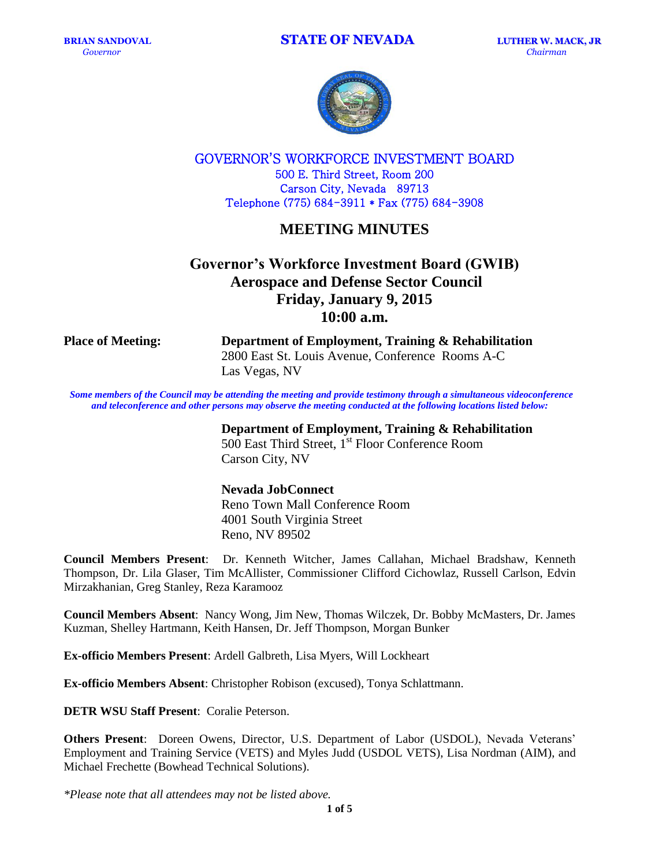

GOVERNOR'S WORKFORCE INVESTMENT BOARD 500 E. Third Street, Room 200 Carson City, Nevada 89713 Telephone (775) 684-3911 \* Fax (775) 684-3908

## **MEETING MINUTES**

# **Governor's Workforce Investment Board (GWIB) Aerospace and Defense Sector Council Friday, January 9, 2015 10:00 a.m.**

**Place of Meeting: Department of Employment, Training & Rehabilitation** 2800 East St. Louis Avenue, Conference Rooms A-C Las Vegas, NV

Some members of the Council may be attending the meeting and provide testimony through a simultaneous videoconference *and teleconference and other persons may observe the meeting conducted at the following locations listed below:*

### **Department of Employment, Training & Rehabilitation**

500 East Third Street, 1<sup>st</sup> Floor Conference Room Carson City, NV

#### **Nevada JobConnect**

Reno Town Mall Conference Room 4001 South Virginia Street Reno, NV 89502

**Council Members Present**: Dr. Kenneth Witcher, James Callahan, Michael Bradshaw, Kenneth Thompson, Dr. Lila Glaser, Tim McAllister, Commissioner Clifford Cichowlaz, Russell Carlson, Edvin Mirzakhanian, Greg Stanley, Reza Karamooz

**Council Members Absent**: Nancy Wong, Jim New, Thomas Wilczek, Dr. Bobby McMasters, Dr. James Kuzman, Shelley Hartmann, Keith Hansen, Dr. Jeff Thompson, Morgan Bunker

**Ex-officio Members Present**: Ardell Galbreth, Lisa Myers, Will Lockheart

**Ex-officio Members Absent**: Christopher Robison (excused), Tonya Schlattmann.

**DETR WSU Staff Present**: Coralie Peterson.

**Others Present**: Doreen Owens, Director, U.S. Department of Labor (USDOL), Nevada Veterans' Employment and Training Service (VETS) and Myles Judd (USDOL VETS), Lisa Nordman (AIM), and Michael Frechette (Bowhead Technical Solutions).

*\*Please note that all attendees may not be listed above.*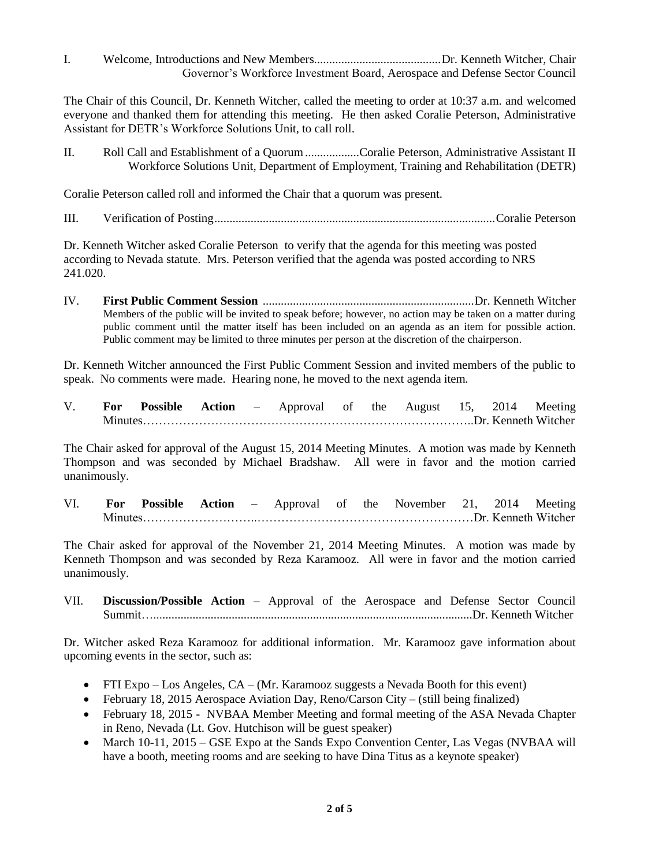I. Welcome, Introductions and New Members..........................................Dr. Kenneth Witcher, Chair Governor's Workforce Investment Board, Aerospace and Defense Sector Council

The Chair of this Council, Dr. Kenneth Witcher, called the meeting to order at 10:37 a.m. and welcomed everyone and thanked them for attending this meeting. He then asked Coralie Peterson, Administrative Assistant for DETR's Workforce Solutions Unit, to call roll.

II. Roll Call and Establishment of a Quorum..................Coralie Peterson, Administrative Assistant II Workforce Solutions Unit, Department of Employment, Training and Rehabilitation (DETR)

Coralie Peterson called roll and informed the Chair that a quorum was present.

III. Verification of Posting.............................................................................................Coralie Peterson

Dr. Kenneth Witcher asked Coralie Peterson to verify that the agenda for this meeting was posted according to Nevada statute. Mrs. Peterson verified that the agenda was posted according to NRS 241.020.

IV. **First Public Comment Session** ......................................................................Dr. Kenneth Witcher Members of the public will be invited to speak before; however, no action may be taken on a matter during public comment until the matter itself has been included on an agenda as an item for possible action. Public comment may be limited to three minutes per person at the discretion of the chairperson.

Dr. Kenneth Witcher announced the First Public Comment Session and invited members of the public to speak. No comments were made. Hearing none, he moved to the next agenda item.

V. **For Possible Action** – Approval of the August 15, 2014 Meeting Minutes………………………………………………………………………..Dr. Kenneth Witcher

The Chair asked for approval of the August 15, 2014 Meeting Minutes. A motion was made by Kenneth Thompson and was seconded by Michael Bradshaw. All were in favor and the motion carried unanimously.

VI. **For Possible Action –** Approval of the November 21, 2014 Meeting Minutes………………………..………………………………………………Dr. Kenneth Witcher

The Chair asked for approval of the November 21, 2014 Meeting Minutes. A motion was made by Kenneth Thompson and was seconded by Reza Karamooz. All were in favor and the motion carried unanimously.

VII. **Discussion/Possible Action** – Approval of the Aerospace and Defense Sector Council Summit…..........................................................................................................Dr. Kenneth Witcher

Dr. Witcher asked Reza Karamooz for additional information. Mr. Karamooz gave information about upcoming events in the sector, such as:

- FTI Expo Los Angeles, CA (Mr. Karamooz suggests a Nevada Booth for this event)
- February 18, 2015 Aerospace Aviation Day, Reno/Carson City (still being finalized)
- February 18, 2015 NVBAA Member Meeting and formal meeting of the ASA Nevada Chapter in Reno, Nevada (Lt. Gov. Hutchison will be guest speaker)
- March 10-11, 2015 GSE Expo at the Sands Expo Convention Center, Las Vegas (NVBAA will have a booth, meeting rooms and are seeking to have Dina Titus as a keynote speaker)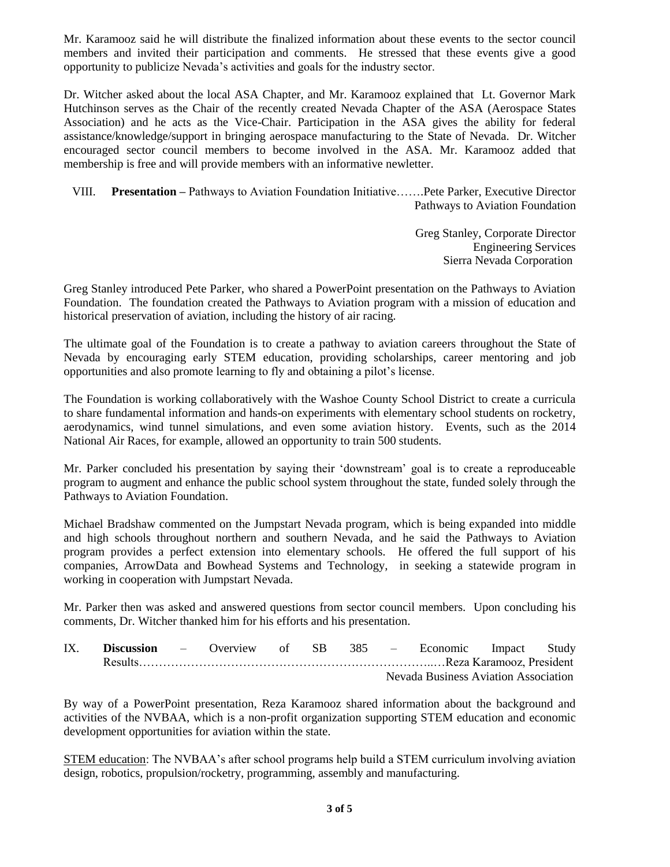Mr. Karamooz said he will distribute the finalized information about these events to the sector council members and invited their participation and comments. He stressed that these events give a good opportunity to publicize Nevada's activities and goals for the industry sector.

Dr. Witcher asked about the local ASA Chapter, and Mr. Karamooz explained that Lt. Governor Mark Hutchinson serves as the Chair of the recently created Nevada Chapter of the ASA (Aerospace States Association) and he acts as the Vice-Chair. Participation in the ASA gives the ability for federal assistance/knowledge/support in bringing aerospace manufacturing to the State of Nevada. Dr. Witcher encouraged sector council members to become involved in the ASA. Mr. Karamooz added that membership is free and will provide members with an informative newletter.

VIII. **Presentation –** Pathways to Aviation Foundation Initiative…….Pete Parker, Executive Director Pathways to Aviation Foundation

> Greg Stanley, Corporate Director Engineering Services Sierra Nevada Corporation

Greg Stanley introduced Pete Parker, who shared a PowerPoint presentation on the Pathways to Aviation Foundation. The foundation created the Pathways to Aviation program with a mission of education and historical preservation of aviation, including the history of air racing.

The ultimate goal of the Foundation is to create a pathway to aviation careers throughout the State of Nevada by encouraging early STEM education, providing scholarships, career mentoring and job opportunities and also promote learning to fly and obtaining a pilot's license.

The Foundation is working collaboratively with the Washoe County School District to create a curricula to share fundamental information and hands-on experiments with elementary school students on rocketry, aerodynamics, wind tunnel simulations, and even some aviation history. Events, such as the 2014 National Air Races, for example, allowed an opportunity to train 500 students.

Mr. Parker concluded his presentation by saying their 'downstream' goal is to create a reproduceable program to augment and enhance the public school system throughout the state, funded solely through the Pathways to Aviation Foundation.

Michael Bradshaw commented on the Jumpstart Nevada program, which is being expanded into middle and high schools throughout northern and southern Nevada, and he said the Pathways to Aviation program provides a perfect extension into elementary schools. He offered the full support of his companies, ArrowData and Bowhead Systems and Technology, in seeking a statewide program in working in cooperation with Jumpstart Nevada.

Mr. Parker then was asked and answered questions from sector council members. Upon concluding his comments, Dr. Witcher thanked him for his efforts and his presentation.

IX. **Discussion** – Overview of SB 385 – Economic Impact Study Results………………………………………………………………..…Reza Karamooz, President Nevada Business Aviation Association

By way of a PowerPoint presentation, Reza Karamooz shared information about the background and activities of the NVBAA, which is a non-profit organization supporting STEM education and economic development opportunities for aviation within the state.

STEM education: The NVBAA's after school programs help build a STEM curriculum involving aviation design, robotics, propulsion/rocketry, programming, assembly and manufacturing.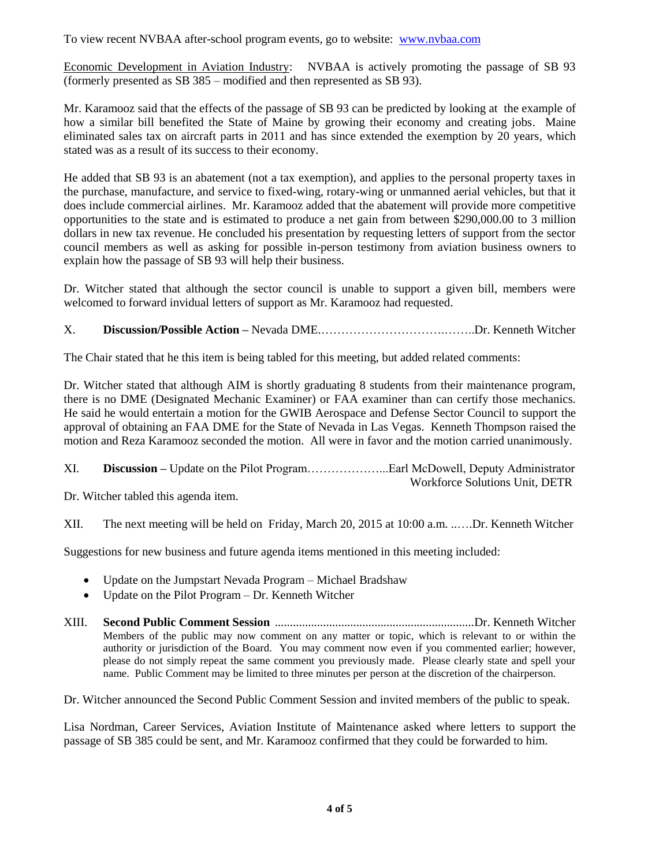To view recent NVBAA after-school program events, go to website: [www.nvbaa.com](http://www.nvbaa.com/)

Economic Development in Aviation Industry: NVBAA is actively promoting the passage of SB 93 (formerly presented as SB 385 – modified and then represented as SB 93).

Mr. Karamooz said that the effects of the passage of SB 93 can be predicted by looking at the example of how a similar bill benefited the State of Maine by growing their economy and creating jobs. Maine eliminated sales tax on aircraft parts in 2011 and has since extended the exemption by 20 years, which stated was as a result of its success to their economy.

He added that SB 93 is an abatement (not a tax exemption), and applies to the personal property taxes in the purchase, manufacture, and service to fixed-wing, rotary-wing or unmanned aerial vehicles, but that it does include commercial airlines. Mr. Karamooz added that the abatement will provide more competitive opportunities to the state and is estimated to produce a net gain from between \$290,000.00 to 3 million dollars in new tax revenue. He concluded his presentation by requesting letters of support from the sector council members as well as asking for possible in-person testimony from aviation business owners to explain how the passage of SB 93 will help their business.

Dr. Witcher stated that although the sector council is unable to support a given bill, members were welcomed to forward invidual letters of support as Mr. Karamooz had requested.

## X. **Discussion/Possible Action –** Nevada DME.………………………….……..Dr. Kenneth Witcher

The Chair stated that he this item is being tabled for this meeting, but added related comments:

Dr. Witcher stated that although AIM is shortly graduating 8 students from their maintenance program, there is no DME (Designated Mechanic Examiner) or FAA examiner than can certify those mechanics. He said he would entertain a motion for the GWIB Aerospace and Defense Sector Council to support the approval of obtaining an FAA DME for the State of Nevada in Las Vegas. Kenneth Thompson raised the motion and Reza Karamooz seconded the motion. All were in favor and the motion carried unanimously.

| XI. |                                |
|-----|--------------------------------|
|     | Workforce Solutions Unit, DETR |

Dr. Witcher tabled this agenda item.

XII. The next meeting will be held on Friday, March 20, 2015 at 10:00 a.m. ..….Dr. Kenneth Witcher

Suggestions for new business and future agenda items mentioned in this meeting included:

- Update on the Jumpstart Nevada Program Michael Bradshaw
- Update on the Pilot Program Dr. Kenneth Witcher
- XIII. **Second Public Comment Session** ..................................................................Dr. Kenneth Witcher Members of the public may now comment on any matter or topic, which is relevant to or within the authority or jurisdiction of the Board. You may comment now even if you commented earlier; however, please do not simply repeat the same comment you previously made. Please clearly state and spell your name. Public Comment may be limited to three minutes per person at the discretion of the chairperson.

Dr. Witcher announced the Second Public Comment Session and invited members of the public to speak.

Lisa Nordman, Career Services, Aviation Institute of Maintenance asked where letters to support the passage of SB 385 could be sent, and Mr. Karamooz confirmed that they could be forwarded to him.